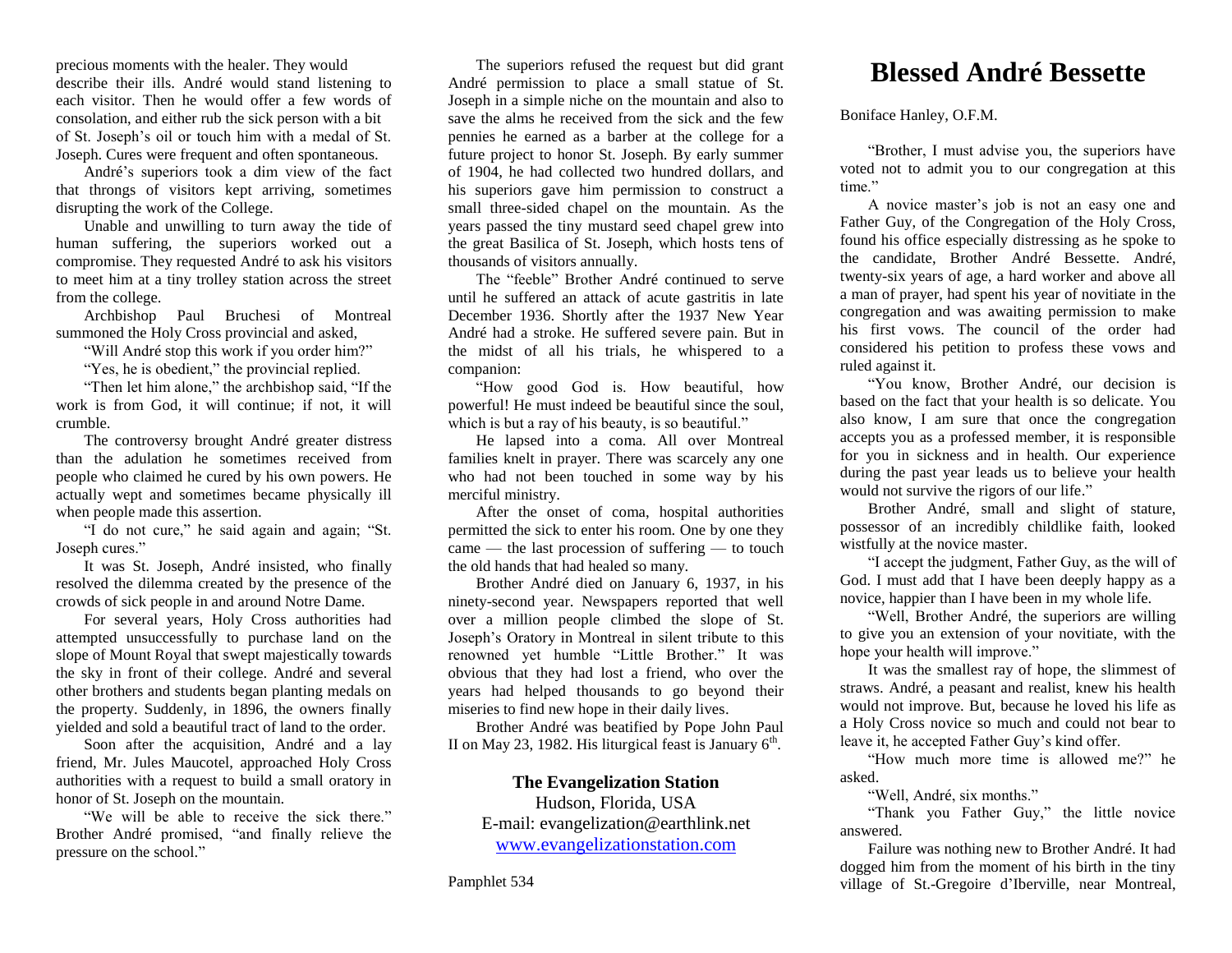precious moments with the healer. They would describe their ills. André would stand listening to each visitor. Then he would offer a few words of consolation, and either rub the sick person with a bit of St. Joseph's oil or touch him with a medal of St. Joseph. Cures were frequent and often spontaneous.

André's superiors took a dim view of the fact that throngs of visitors kept arriving, sometimes disrupting the work of the College.

Unable and unwilling to turn away the tide of human suffering, the superiors worked out a compromise. They requested André to ask his visitors to meet him at a tiny trolley station across the street from the college.

Archbishop Paul Bruchesi of Montreal summoned the Holy Cross provincial and asked,

"Will André stop this work if you order him?"

"Yes, he is obedient," the provincial replied.

"Then let him alone," the archbishop said, "If the work is from God, it will continue; if not, it will crumble.

The controversy brought André greater distress than the adulation he sometimes received from people who claimed he cured by his own powers. He actually wept and sometimes became physically ill when people made this assertion.

"I do not cure," he said again and again; "St. Joseph cures."

It was St. Joseph, André insisted, who finally resolved the dilemma created by the presence of the crowds of sick people in and around Notre Dame.

For several years, Holy Cross authorities had attempted unsuccessfully to purchase land on the slope of Mount Royal that swept majestically towards the sky in front of their college. André and several other brothers and students began planting medals on the property. Suddenly, in 1896, the owners finally yielded and sold a beautiful tract of land to the order.

Soon after the acquisition, André and a lay friend, Mr. Jules Maucotel, approached Holy Cross authorities with a request to build a small oratory in honor of St. Joseph on the mountain.

"We will be able to receive the sick there." Brother André promised, "and finally relieve the pressure on the school."

The superiors refused the request but did grant André permission to place a small statue of St. Joseph in a simple niche on the mountain and also to save the alms he received from the sick and the few pennies he earned as a barber at the college for a future project to honor St. Joseph. By early summer of 1904, he had collected two hundred dollars, and his superiors gave him permission to construct a small three-sided chapel on the mountain. As the years passed the tiny mustard seed chapel grew into the great Basilica of St. Joseph, which hosts tens of thousands of visitors annually.

The "feeble" Brother André continued to serve until he suffered an attack of acute gastritis in late December 1936. Shortly after the 1937 New Year André had a stroke. He suffered severe pain. But in the midst of all his trials, he whispered to a companion:

"How good God is. How beautiful, how powerful! He must indeed be beautiful since the soul, which is but a ray of his beauty, is so beautiful."

He lapsed into a coma. All over Montreal families knelt in prayer. There was scarcely any one who had not been touched in some way by his merciful ministry.

After the onset of coma, hospital authorities permitted the sick to enter his room. One by one they came — the last procession of suffering — to touch the old hands that had healed so many.

Brother André died on January 6, 1937, in his ninety-second year. Newspapers reported that well over a million people climbed the slope of St. Joseph's Oratory in Montreal in silent tribute to this renowned yet humble "Little Brother." It was obvious that they had lost a friend, who over the years had helped thousands to go beyond their miseries to find new hope in their daily lives.

Brother André was beatified by Pope John Paul II on May 23, 1982. His liturgical feast is January  $6<sup>th</sup>$ .

## **The Evangelization Station**

Hudson, Florida, USA E-mail: evangelization@earthlink.net [www.evangelizationstation.com](http://www.pjpiisoe.org/)

# **Blessed André Bessette**

Boniface Hanley, O.F.M.

"Brother, I must advise you, the superiors have voted not to admit you to our congregation at this time."

A novice master's job is not an easy one and Father Guy, of the Congregation of the Holy Cross, found his office especially distressing as he spoke to the candidate, Brother André Bessette. André, twenty-six years of age, a hard worker and above all a man of prayer, had spent his year of novitiate in the congregation and was awaiting permission to make his first vows. The council of the order had considered his petition to profess these vows and ruled against it.

"You know, Brother André, our decision is based on the fact that your health is so delicate. You also know, I am sure that once the congregation accepts you as a professed member, it is responsible for you in sickness and in health. Our experience during the past year leads us to believe your health would not survive the rigors of our life."

Brother André, small and slight of stature, possessor of an incredibly childlike faith, looked wistfully at the novice master.

"I accept the judgment, Father Guy, as the will of God. I must add that I have been deeply happy as a novice, happier than I have been in my whole life.

"Well, Brother André, the superiors are willing to give you an extension of your novitiate, with the hope your health will improve."

It was the smallest ray of hope, the slimmest of straws. André, a peasant and realist, knew his health would not improve. But, because he loved his life as a Holy Cross novice so much and could not bear to leave it, he accepted Father Guy's kind offer.

"How much more time is allowed me?" he asked.

"Well, André, six months."

"Thank you Father Guy," the little novice answered.

Failure was nothing new to Brother André. It had dogged him from the moment of his birth in the tiny village of St.-Gregoire d'Iberville, near Montreal,